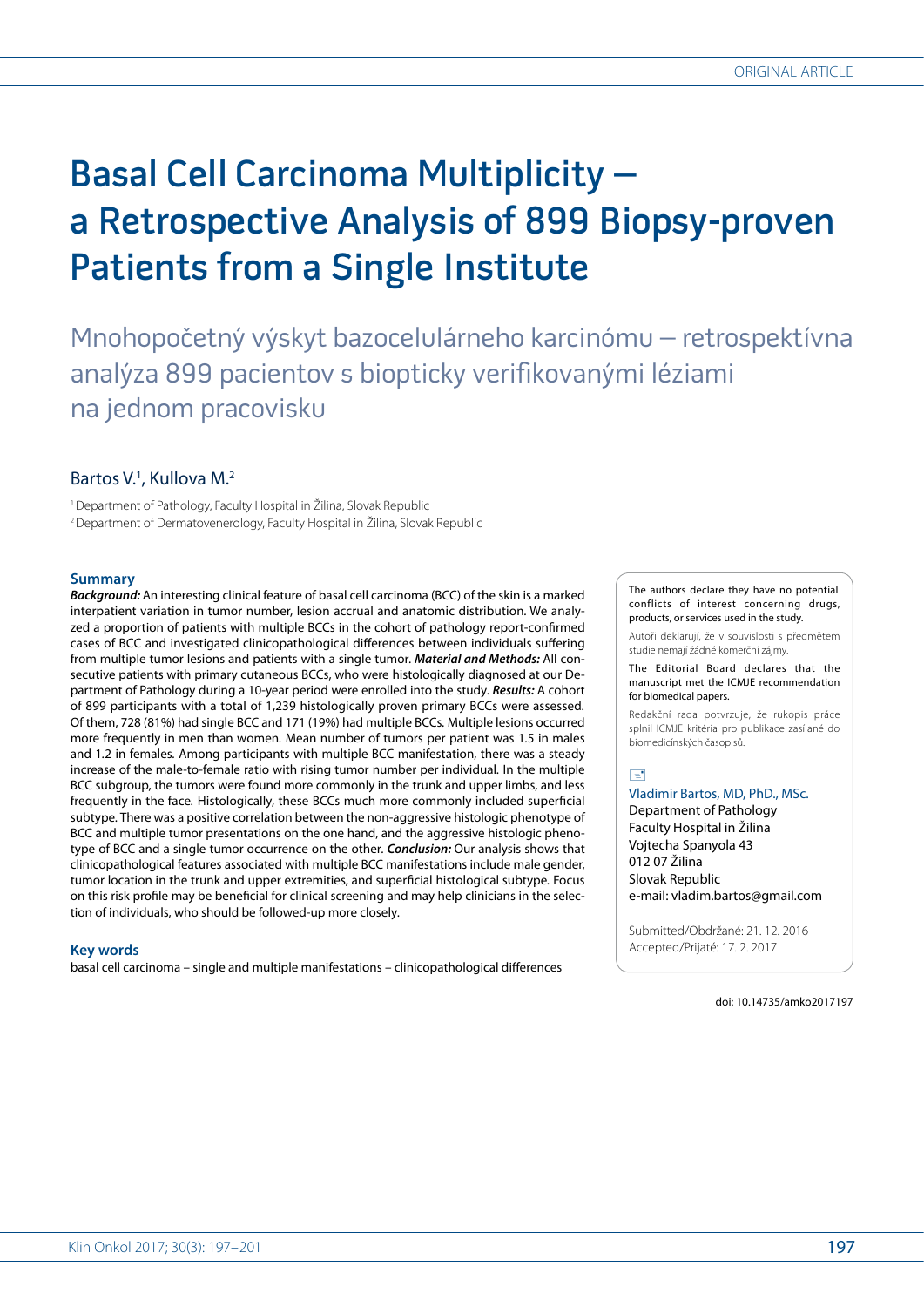# Basal Cell Carcinoma Multiplicity – a Retrospective Analysis of 899 Biopsy-proven Patients from a Single Institute

Mnohopočetný výskyt bazocelulárneho karcinómu – retrospektívna analýza 899 pacientov s biopticky verifikovanými léziami na jednom pracovisku

## Bartos V.<sup>1</sup>, Kullova M.<sup>2</sup>

1 Department of Pathology, Faculty Hospital in Žilina, Slovak Republic <sup>2</sup> Department of Dermatovenerology, Faculty Hospital in Žilina, Slovak Republic

## **Summary**

*Background:* An interesting clinical feature of basal cell carcinoma (BCC) of the skin is a marked interpatient variation in tumor number, lesion accrual and anatomic distribution*.* We analyzed a proportion of patients with multiple BCCs in the cohort of pathology report-confirmed cases of BCC and investigated clinicopathological differences between individuals suffering from multiple tumor lesions and patients with a single tumor*. Material and Methods:* All consecutive patients with primary cutaneous BCCs, who were histologically diagnosed at our Department of Pathology during a 10-year period were enrolled into the study*. Results:* A cohort of 899 participants with a total of 1,239 histologically proven primary BCCs were assessed*.* Of them, 728 (81%) had single BCC and 171 (19%) had multiple BCCs*.* Multiple lesions occurred more frequently in men than women*.* Mean number of tumors per patient was 1*.*5 in males and 1*.*2 in females*.* Among participants with multiple BCC manifestation, there was a steady increase of the male-to-female ratio with rising tumor number per individual*.* In the multiple BCC subgroup, the tumors were found more commonly in the trunk and upper limbs, and less frequently in the face*.* Histologically, these BCCs much more commonly included superficial subtype*.* There was a positive correlation between the non-aggressive histologic phenotype of BCC and multiple tumor presentations on the one hand, and the aggressive histologic phenotype of BCC and a single tumor occurrence on the other*. Conclusion:* Our analysis shows that clinicopathological features associated with multiple BCC manifestations include male gender, tumor location in the trunk and upper extremities, and superficial histological subtype*.* Focus on this risk profile may be beneficial for clinical screening and may help clinicians in the selection of individuals, who should be followed-up more closely*.*

### **Key words**

basal cell carcinoma – single and multiple manifestations – clinicopathological differences

The authors declare they have no potential conflicts of interest concerning drugs, products, or services used in the study.

Autoři deklarují, že v souvislosti s předmětem studie nemají žádné komerční zájmy.

The Editorial Board declares that the manuscript met the ICMJE recommendation for biomedical papers.

Redakční rada potvrzuje, že rukopis práce splnil ICMJE kritéria pro publikace zasílané do biomedicínských časopisů.

 $\boxed{\equiv}$ 

## Vladimir Bartos, MD, PhD., MSc. Department of Pathology Faculty Hospital in Žilina Vojtecha Spanyola 43 012 07 Žilina Slovak Republic e-mail: vladim.bartos@gmail.com

Submitted/Obdržané: 21. 12. 2016 Accepted/Prijaté: 17. 2. 2017

doi: 10.14735/amko2017197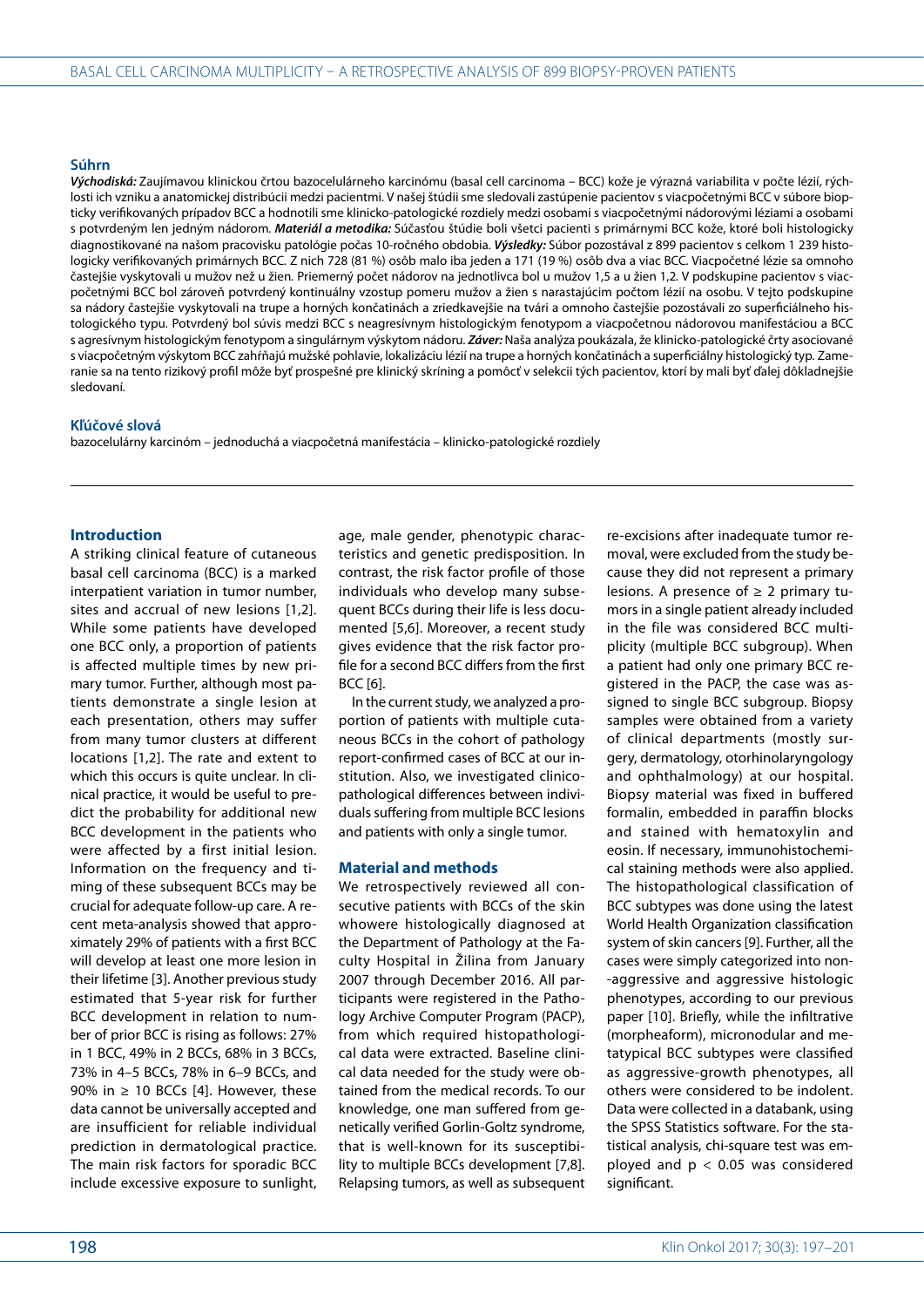#### **Súhrn**

*Východiská:* Zaujímavou klinickou črtou bazocelulárneho karcinómu (basal cell carcinoma – BCC) kože je výrazná variabilita v počte lézií, rýchlosti ich vzniku a anatomickej distribúcii medzi pacientmi*.* V našej štúdii sme sledovali zastúpenie pacientov s viacpočetnými BCC v súbore biopticky verifikovaných prípadov BCC a hodnotili sme klinicko-patologické rozdiely medzi osobami s viacpočetnými nádorovými léziami a osobami s potvrdeným len jedným nádorom*. Materiál a metodika:* Súčasťou štúdie boli všetci pacienti s primárnymi BCC kože, ktoré boli histologicky diagnostikované na našom pracovisku patológie počas 10-ročného obdobia*. Výsledky:* Súbor pozostával z 899 pacientov s celkom 1 239 histologicky verifikovaných primárnych BCC*.* Z nich 728 (81 %) osôb malo iba jeden a 171 (19 %) osôb dva a viac BCC*.* Viacpočetné lézie sa omnoho častejšie vyskytovali u mužov než u žien*.* Priemerný počet nádorov na jednotlivca bol u mužov 1,5 a u žien 1,2*.* V podskupine pacientov s viacpočetnými BCC bol zároveň potvrdený kontinuálny vzostup pomeru mužov a žien s narastajúcim počtom lézií na osobu*.* V tejto podskupine sa nádory častejšie vyskytovali na trupe a horných končatinách a zriedkavejšie na tvári a omnoho častejšie pozostávali zo superficiálneho histologického typu*.* Potvrdený bol súvis medzi BCC s neagresívnym histologickým fenotypom a viacpočetnou nádorovou manifestáciou a BCC s agresívnym histologickým fenotypom a singulárnym výskytom nádoru*. Záver:* Naša analýza poukázala, že klinicko-patologické črty asociované s viacpočetným výskytom BCC zahŕňajú mužské pohlavie, lokalizáciu lézií na trupe a horných končatinách a superficiálny histologický typ*.* Zameranie sa na tento rizikový profil môže byť prospešné pre klinický skríning a pomôcť v selekcii tých pacientov, ktorí by mali byť ďalej dôkladnejšie sledovaní*.*

#### **Kľúčové slová**

bazocelulárny karcinóm – jednoduchá a viacpočetná manifestácia – klinicko-patologické rozdiely

## **Introduction**

A striking clinical feature of cutaneous basal cell carcinoma (BCC) is a marked interpatient variation in tumor number, sites and accrual of new lesions [1,2]. While some patients have developed one BCC only, a proportion of patients is affected multiple times by new primary tumor. Further, although most patients demonstrate a single lesion at each presentation, others may suffer from many tumor clusters at different locations [1,2]. The rate and extent to which this occurs is quite unclear. In clinical practice, it would be useful to predict the probability for additional new BCC development in the patients who were affected by a first initial lesion. Information on the frequency and timing of these subsequent BCCs may be crucial for adequate follow-up care. A recent meta-analysis showed that approximately 29% of patients with a first BCC will develop at least one more lesion in their lifetime [3]. Another previous study estimated that 5-year risk for further BCC development in relation to number of prior BCC is rising as follows: 27% in 1 BCC, 49% in 2 BCCs, 68% in 3 BCCs, 73% in 4–5 BCCs, 78% in 6–9 BCCs, and 90% in  $\geq$  10 BCCs [4]. However, these data cannot be universally accepted and are insufficient for reliable individual prediction in dermatological practice. The main risk factors for sporadic BCC include excessive exposure to sunlight,

age, male gender, phenotypic characteristics and genetic predisposition. In contrast, the risk factor profile of those individuals who develop many subsequent BCCs during their life is less documented [5,6]. Moreover, a recent study gives evidence that the risk factor profile for a second BCC differs from the first BCC [6].

In the current study, we analyzed a proportion of patients with multiple cutaneous BCCs in the cohort of pathology report-confirmed cases of BCC at our institution. Also, we investigated clinicopathological differences between individuals suffering from multiple BCC lesions and patients with only a single tumor.

#### **Material and methods**

We retrospectively reviewed all consecutive patients with BCCs of the skin whowere histologically diagnosed at the Department of Pathology at the Faculty Hospital in Žilina from January 2007 through December 2016. All participants were registered in the Pathology Archive Computer Program (PACP), from which required histopathological data were extracted. Baseline clinical data needed for the study were obtained from the medical records. To our knowledge, one man suffered from genetically verified Gorlin-Goltz syndrome, that is well-known for its susceptibility to multiple BCCs development [7,8]. Relapsing tumors, as well as subsequent

re-excisions after inadequate tumor removal, were excluded from the study because they did not represent a primary lesions. A presence of  $\geq 2$  primary tumors in a single patient already included in the file was considered BCC multiplicity (multiple BCC subgroup). When a patient had only one primary BCC registered in the PACP, the case was assigned to single BCC subgroup. Biopsy samples were obtained from a variety of clinical departments (mostly surgery, dermatology, otorhinolaryngology and ophthalmology) at our hospital. Biopsy material was fixed in buffered formalin, embedded in paraffin blocks and stained with hematoxylin and eosin. If necessary, immunohistochemical staining methods were also applied. The histopathological classification of BCC subtypes was done using the latest World Health Organization classification system of skin cancers [9]. Further, all the cases were simply categorized into non- -aggressive and aggressive histologic phenotypes, according to our previous paper [10]. Briefly, while the infiltrative (morpheaform), micronodular and metatypical BCC subtypes were classified as aggressive-growth phenotypes, all others were considered to be indolent. Data were collected in a databank, using the SPSS Statistics software. For the statistical analysis, chi-square test was employed and  $p < 0.05$  was considered significant.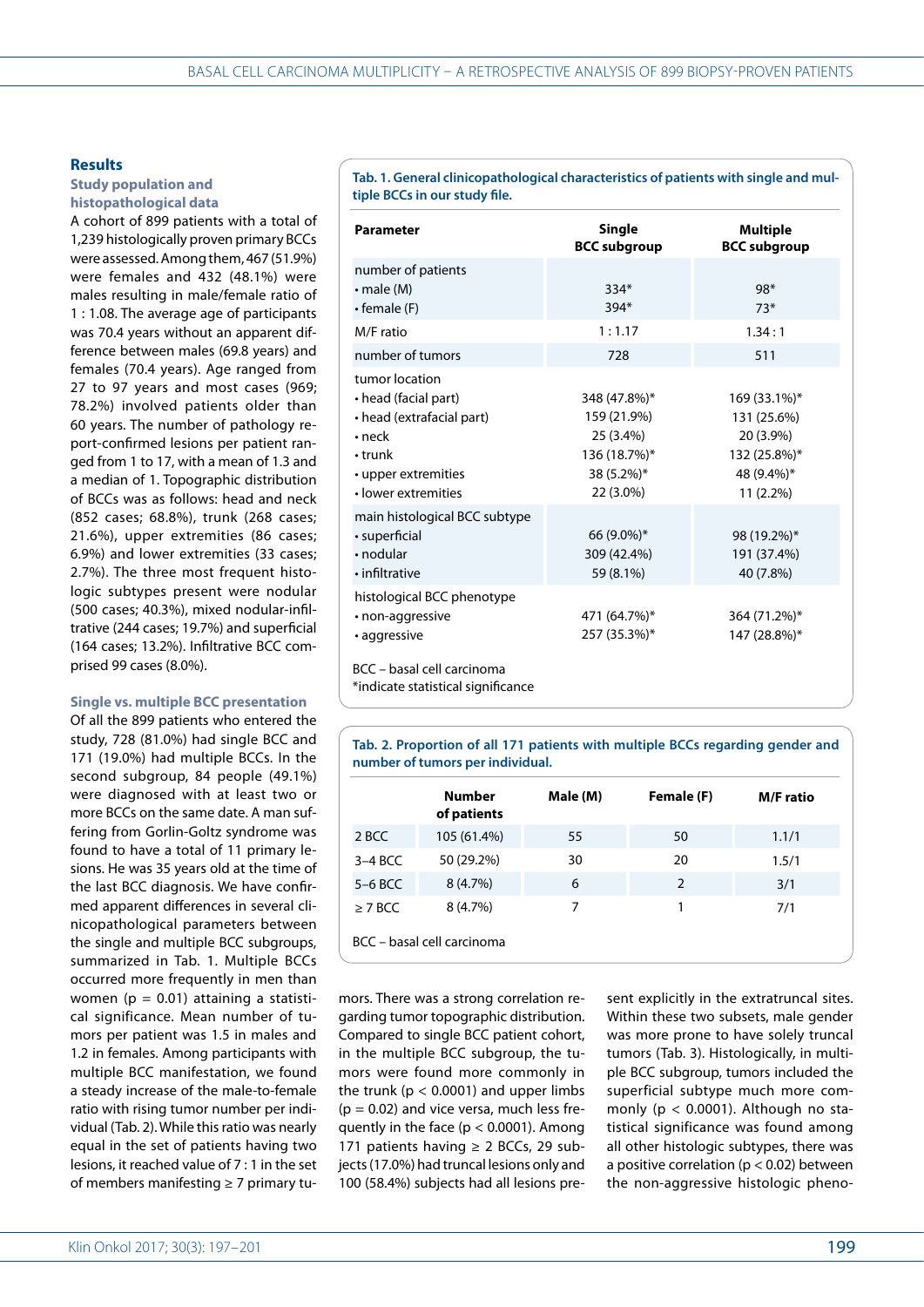## **Results**

## **Study population and histopathological data**

A cohort of 899 patients with a total of 1,239 histologically proven primary BCCs were assessed. Among them, 467 (51.9%) were females and 432 (48.1%) were males resulting in male/female ratio of 1 : 1.08. The average age of participants was 70.4 years without an apparent difference between males (69.8 years) and females (70.4 years). Age ranged from 27 to 97 years and most cases (969; 78.2%) involved patients older than 60 years. The number of pathology report-confirmed lesions per patient ranged from 1 to 17, with a mean of 1.3 and a median of 1. Topographic distribution of BCCs was as follows: head and neck (852 cases; 68.8%), trunk (268 cases; 21.6%), upper extremities (86 cases; 6.9%) and lower extremities (33 cases; 2.7%). The three most frequent histologic subtypes present were nodular (500 cases; 40.3%), mixed nodular-infiltrative (244 cases; 19.7%) and superficial (164 cases; 13.2%). Infiltrative BCC comprised 99 cases (8.0%).

## **Single vs. multiple BCC presentation**

Of all the 899 patients who entered the study, 728 (81.0%) had single BCC and 171 (19.0%) had multiple BCCs. In the second subgroup, 84 people (49.1%) were diagnosed with at least two or more BCCs on the same date. A man suffering from Gorlin-Goltz syndrome was found to have a total of 11 primary lesions. He was 35 years old at the time of the last BCC diagnosis. We have confirmed apparent differences in several clinicopathological parameters between the single and multiple BCC subgroups, summarized in Tab. 1. Multiple BCCs occurred more frequently in men than women ( $p = 0.01$ ) attaining a statistical significance. Mean number of tumors per patient was 1.5 in males and 1.2 in females. Among participants with multiple BCC manifestation, we found a steady increase of the male-to-female ratio with rising tumor number per individual (Tab. 2). While this ratio was nearly equal in the set of patients having two lesions, it reached value of 7 : 1 in the set of members manifesting ≥ 7 primary tu-

Klin Onkol 2017; 30(3): 197–201 **199** 

**Tab. 1. General clinicopathological characteristics of patients with single and multiple BCCs in our study file.** 

| <b>Parameter</b>                                                                                                                                   | <b>Single</b><br><b>BCC subgroup</b>                                                | <b>Multiple</b><br><b>BCC subgroup</b>                                              |
|----------------------------------------------------------------------------------------------------------------------------------------------------|-------------------------------------------------------------------------------------|-------------------------------------------------------------------------------------|
| number of patients<br>$\cdot$ male (M)<br>• female (F)                                                                                             | $334*$<br>$394*$                                                                    | 98*<br>$73*$                                                                        |
| M/F ratio                                                                                                                                          | 1:1.17                                                                              | 1.34:1                                                                              |
| number of tumors                                                                                                                                   | 728                                                                                 | 511                                                                                 |
| tumor location<br>• head (facial part)<br>• head (extrafacial part)<br>$\cdot$ neck<br>$\cdot$ trunk<br>• upper extremities<br>· lower extremities | 348 (47.8%)*<br>159 (21.9%)<br>25 (3.4%)<br>136 (18.7%)*<br>38 (5.2%)*<br>22 (3.0%) | 169 (33.1%)*<br>131 (25.6%)<br>20 (3.9%)<br>132 (25.8%)*<br>48 (9.4%)*<br>11 (2.2%) |
| main histological BCC subtype<br>• superficial<br>$\cdot$ nodular<br>• infiltrative                                                                | 66 (9.0%)*<br>309 (42.4%)<br>59 (8.1%)                                              | 98 (19.2%)*<br>191 (37.4%)<br>40 (7.8%)                                             |
| histological BCC phenotype<br>• non-aggressive<br>· aggressive                                                                                     | 471 (64.7%)*<br>257 (35.3%)*                                                        | 364 (71.2%)*<br>147 (28.8%)*                                                        |
| BCC - basal cell carcinoma<br>*indicate statistical significance                                                                                   |                                                                                     |                                                                                     |

**Tab. 2. Proportion of all 171 patients with multiple BCCs regarding gender and number of tumors per individual.**

|              | <b>Number</b><br>of patients | Male (M) | Female (F) | <b>M/F</b> ratio |
|--------------|------------------------------|----------|------------|------------------|
| 2 BCC        | 105 (61.4%)                  | 55       | 50         | 1.1/1            |
| $3-4$ BCC    | 50 (29.2%)                   | 30       | 20         | 1.5/1            |
| $5-6$ BCC    | 8(4.7%)                      | 6        | 2          | 3/1              |
| $\geq$ 7 BCC | 8(4.7%)                      | 7        |            | 7/1              |
|              | BCC - basal cell carcinoma   |          |            |                  |

mors. There was a strong correlation regarding tumor topographic distribution. Compared to single BCC patient cohort, in the multiple BCC subgroup, the tumors were found more commonly in the trunk ( $p < 0.0001$ ) and upper limbs  $(p = 0.02)$  and vice versa, much less frequently in the face ( $p < 0.0001$ ). Among 171 patients having  $\geq$  2 BCCs, 29 subjects (17.0%) had truncal lesions only and 100 (58.4%) subjects had all lesions present explicitly in the extratruncal sites. Within these two subsets, male gender was more prone to have solely truncal tumors (Tab. 3). Histologically, in multiple BCC subgroup, tumors included the superficial subtype much more commonly ( $p < 0.0001$ ). Although no statistical significance was found among all other histologic subtypes, there was a positive correlation ( $p < 0.02$ ) between the non-aggressive histologic pheno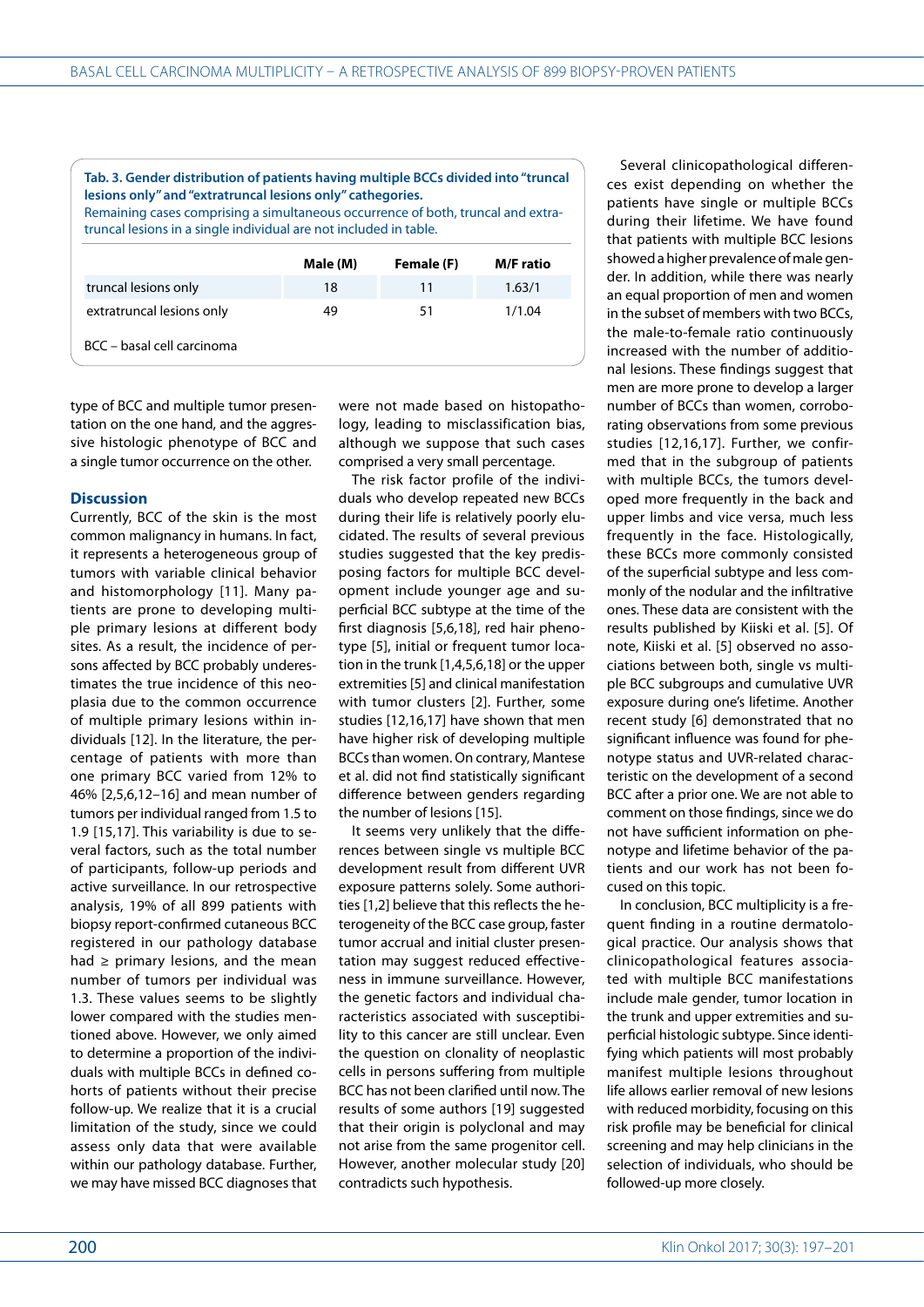**Tab. 3. Gender distribution of patients having multiple BCCs divided into "truncal lesions only" and "extratruncal lesions only" cathegories.**

Remaining cases comprising a simultaneous occurrence of both, truncal and extratruncal lesions in a single individual are not included in table.

|                            | Male (M) | Female (F) | <b>M/F</b> ratio |
|----------------------------|----------|------------|------------------|
| truncal lesions only       | 18       | 11         | 1.63/1           |
| extratruncal lesions only  | 49       | 51         | 1/1.04           |
| BCC - basal cell carcinoma |          |            |                  |

type of BCC and multiple tumor presentation on the one hand, and the aggressive histologic phenotype of BCC and a single tumor occurrence on the other.

#### **Discussion**

Currently, BCC of the skin is the most common malignancy in humans. In fact, it represents a heterogeneous group of tumors with variable clinical behavior and histomorphology [11]. Many patients are prone to developing multiple primary lesions at different body sites. As a result, the incidence of persons affected by BCC probably underestimates the true incidence of this neoplasia due to the common occurrence of multiple primary lesions within individuals [12]. In the literature, the percentage of patients with more than one primary BCC varied from 12% to 46% [2,5,6,12–16] and mean number of tumors per individual ranged from 1.5 to 1.9 [15,17]. This variability is due to several factors, such as the total number of participants, follow-up periods and active surveillance. In our retrospective analysis, 19% of all 899 patients with biopsy report-confirmed cutaneous BCC registered in our pathology database had  $\ge$  primary lesions, and the mean number of tumors per individual was 1.3. These values seems to be slightly lower compared with the studies mentioned above. However, we only aimed to determine a proportion of the individuals with multiple BCCs in defined cohorts of patients without their precise follow-up. We realize that it is a crucial limitation of the study, since we could assess only data that were available within our pathology database. Further, we may have missed BCC diagnoses that

were not made based on histopathology, leading to misclassification bias, although we suppose that such cases comprised a very small percentage.

The risk factor profile of the individuals who develop repeated new BCCs during their life is relatively poorly elucidated. The results of several previous studies suggested that the key predisposing factors for multiple BCC development include younger age and superficial BCC subtype at the time of the first diagnosis [5,6,18], red hair phenotype [5], initial or frequent tumor location in the trunk [1,4,5,6,18] or the upper extremities [5] and clinical manifestation with tumor clusters [2]. Further, some studies [12,16,17] have shown that men have higher risk of developing multiple BCCs than women. On contrary, Mantese et al. did not find statistically significant difference between genders regarding the number of lesions [15].

It seems very unlikely that the differences between single vs multiple BCC development result from different UVR exposure patterns solely. Some authorities [1,2] believe that this reflects the heterogeneity of the BCC case group, faster tumor accrual and initial cluster presentation may suggest reduced effectiveness in immune surveillance. However, the genetic factors and individual characteristics associated with susceptibility to this cancer are still unclear. Even the question on clonality of neoplastic cells in persons suffering from multiple BCC has not been clarified until now. The results of some authors [19] suggested that their origin is polyclonal and may not arise from the same progenitor cell. However, another molecular study [20] contradicts such hypothesis.

Several clinicopathological differences exist depending on whether the patients have single or multiple BCCs during their lifetime. We have found that patients with multiple BCC lesions showed a higher prevalence of male gender. In addition, while there was nearly an equal proportion of men and women in the subset of members with two BCCs, the male-to-female ratio continuously increased with the number of additional lesions. These findings suggest that men are more prone to develop a larger number of BCCs than women, corroborating observations from some previous studies [12,16,17]. Further, we confirmed that in the subgroup of patients with multiple BCCs, the tumors developed more frequently in the back and upper limbs and vice versa, much less frequently in the face. Histologically, these BCCs more commonly consisted of the superficial subtype and less commonly of the nodular and the infiltrative ones. These data are consistent with the results published by Kiiski et al. [5]. Of note, Kiiski et al. [5] observed no associations between both, single vs multiple BCC subgroups and cumulative UVR exposure during one's lifetime. Another recent study [6] demonstrated that no significant influence was found for phenotype status and UVR-related characteristic on the development of a second BCC after a prior one. We are not able to comment on those findings, since we do not have sufficient information on phenotype and lifetime behavior of the patients and our work has not been focused on this topic.

In conclusion, BCC multiplicity is a frequent finding in a routine dermatological practice. Our analysis shows that clinicopathological features associated with multiple BCC manifestations include male gender, tumor location in the trunk and upper extremities and superficial histologic subtype. Since identifying which patients will most probably manifest multiple lesions throughout life allows earlier removal of new lesions with reduced morbidity, focusing on this risk profile may be beneficial for clinical screening and may help clinicians in the selection of individuals, who should be followed-up more closely.